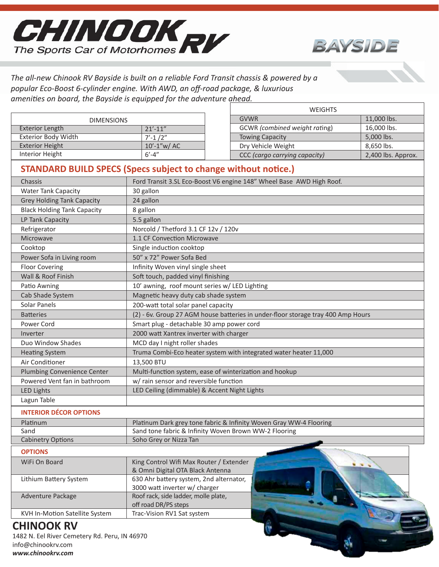



*The all-new Chinook RV Bayside is built on a reliable Ford Transit chassis & powered by a popular Eco-Boost 6-cylinder engine. With AWD, an off-road package, & luxurious amenities on board, the Bayside is equipped for the adventure ahead.*

|                                                                       |                                                                                  | <b>WEIGHTS</b>                                                       |                    |  |
|-----------------------------------------------------------------------|----------------------------------------------------------------------------------|----------------------------------------------------------------------|--------------------|--|
| <b>DIMENSIONS</b>                                                     |                                                                                  | <b>GVWR</b>                                                          | 11,000 lbs.        |  |
| <b>Exterior Length</b>                                                | $21' - 11''$                                                                     | GCWR (combined weight rating)                                        | 16,000 lbs.        |  |
| <b>Exterior Body Width</b>                                            | $7' - 1/2''$                                                                     | <b>Towing Capacity</b>                                               | 5,000 lbs.         |  |
| <b>Exterior Height</b>                                                | 10'-1"w/ AC                                                                      | Dry Vehicle Weight                                                   | 8,650 lbs.         |  |
| <b>Interior Height</b>                                                | $6' - 4''$                                                                       | CCC (cargo carrying capacity)                                        | 2,400 lbs. Approx. |  |
| <b>STANDARD BUILD SPECS (Specs subject to change without notice.)</b> |                                                                                  |                                                                      |                    |  |
| Chassis                                                               |                                                                                  | Ford Transit 3.SL Eco-Boost V6 engine 148" Wheel Base AWD High Roof. |                    |  |
| <b>Water Tank Capacity</b>                                            | 30 gallon                                                                        |                                                                      |                    |  |
| <b>Grey Holding Tank Capacity</b>                                     | 24 gallon                                                                        |                                                                      |                    |  |
| <b>Black Holding Tank Capacity</b>                                    | 8 gallon                                                                         |                                                                      |                    |  |
| LP Tank Capacity                                                      | 5.5 gallon                                                                       |                                                                      |                    |  |
| Refrigerator                                                          | Norcold / Thetford 3.1 CF 12v / 120v                                             |                                                                      |                    |  |
| Microwave                                                             | 1.1 CF Convection Microwave                                                      |                                                                      |                    |  |
| Cooktop                                                               | Single induction cooktop                                                         |                                                                      |                    |  |
| Power Sofa in Living room                                             | 50" x 72" Power Sofa Bed                                                         |                                                                      |                    |  |
| <b>Floor Covering</b>                                                 | Infinity Woven vinyl single sheet                                                |                                                                      |                    |  |
| Wall & Roof Finish                                                    | Soft touch, padded vinyl finishing                                               |                                                                      |                    |  |
| Patio Awning                                                          | 10' awning, roof mount series w/ LED Lighting                                    |                                                                      |                    |  |
| Cab Shade System                                                      | Magnetic heavy duty cab shade system                                             |                                                                      |                    |  |
| Solar Panels                                                          | 200-watt total solar panel capacity                                              |                                                                      |                    |  |
| <b>Batteries</b>                                                      | (2) - 6v. Group 27 AGM house batteries in under-floor storage tray 400 Amp Hours |                                                                      |                    |  |
| Power Cord                                                            | Smart plug - detachable 30 amp power cord                                        |                                                                      |                    |  |
| Inverter                                                              | 2000 watt Xantrex inverter with charger                                          |                                                                      |                    |  |
| Duo Window Shades                                                     | MCD day I night roller shades                                                    |                                                                      |                    |  |
| <b>Heating System</b>                                                 | Truma Combi-Eco heater system with integrated water heater 11,000                |                                                                      |                    |  |
| Air Conditioner                                                       | 13,500 BTU                                                                       |                                                                      |                    |  |
| Plumbing Convenience Center                                           | Multi-function system, ease of winterization and hookup                          |                                                                      |                    |  |
| Powered Vent fan in bathroom                                          | w/ rain sensor and reversible function                                           |                                                                      |                    |  |
| <b>LED Lights</b>                                                     | LED Ceiling (dimmable) & Accent Night Lights                                     |                                                                      |                    |  |
| Lagun Table                                                           |                                                                                  |                                                                      |                    |  |
| <b>INTERIOR DÉCOR OPTIONS</b>                                         |                                                                                  |                                                                      |                    |  |
| Platinum                                                              |                                                                                  | Platinum Dark grey tone fabric & Infinity Woven Gray WW-4 Flooring   |                    |  |
| Sand                                                                  | Sand tone fabric & Infinity Woven Brown WW-2 Flooring                            |                                                                      |                    |  |
| <b>Cabinetry Options</b>                                              | Soho Grey or Nizza Tan                                                           |                                                                      |                    |  |
| <b>OPTIONS</b>                                                        |                                                                                  |                                                                      |                    |  |
| WiFi On Board                                                         | King Control Wifi Max Router / Extender                                          |                                                                      |                    |  |
|                                                                       | & Omni Digital OTA Black Antenna                                                 |                                                                      |                    |  |
| Lithium Battery System                                                | 630 Ahr battery system, 2nd alternator,                                          |                                                                      |                    |  |
|                                                                       | 3000 watt inverter w/ charger                                                    |                                                                      |                    |  |
| Adventure Package                                                     | Roof rack, side ladder, molle plate,                                             |                                                                      |                    |  |
|                                                                       | off road DR/PS steps                                                             |                                                                      |                    |  |
| KVH In-Motion Satellite System                                        | Trac-Vision RV1 Sat system                                                       |                                                                      |                    |  |

## **CHINOOK RV**

1482 N. Eel River Cemetery Rd. Peru, IN 46970 info@chinookrv.com *www.chinookrv.com*